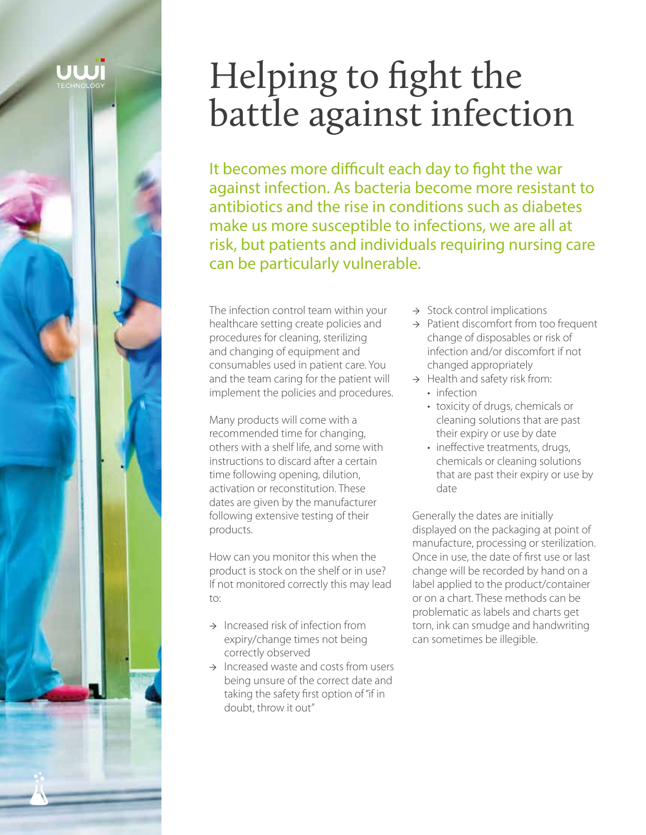# UWI

# Helping to fight the battle against infection

It becomes more difficult each day to fight the war against infection. As bacteria become more resistant to antibiotics and the rise in conditions such as diabetes make us more susceptible to infections, we are all at risk, but patients and individuals requiring nursing care can be particularly vulnerable.

The infection control team within your healthcare setting create policies and procedures for cleaning, sterilizing and changing of equipment and consumables used in patient care. You and the team caring for the patient will implement the policies and procedures.

Many products will come with a recommended time for changing, others with a shelf life, and some with instructions to discard after a certain time following opening, dilution, activation or reconstitution. These dates are given by the manufacturer following extensive testing of their products.

How can you monitor this when the product is stock on the shelf or in use? If not monitored correctly this may lead to:

- $\rightarrow$  Increased risk of infection from expiry/change times not being correctly observed
- → Increased waste and costs from users being unsure of the correct date and taking the safety first option of "if in doubt, throw it out"
- → Stock control implications
- → Patient discomfort from too frequent change of disposables or risk of infection and/or discomfort if not changed appropriately
- $\rightarrow$  Health and safety risk from:
	- infection
		- toxicity of drugs, chemicals or cleaning solutions that are past their expiry or use by date
	- ineffective treatments, drugs, chemicals or cleaning solutions that are past their expiry or use by date

Generally the dates are initially displayed on the packaging at point of manufacture, processing or sterilization. Once in use, the date of first use or last change will be recorded by hand on a label applied to the product/container or on a chart. These methods can be problematic as labels and charts get torn, ink can smudge and handwriting can sometimes be illegible.